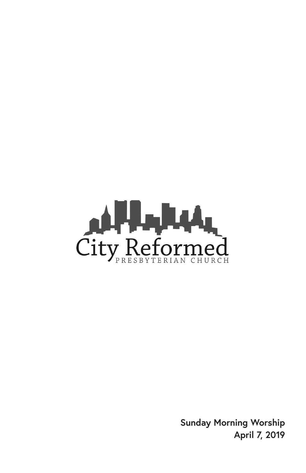

**Sunday Morning Worship April 7, 2019**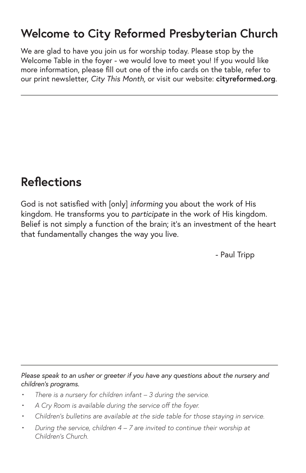## **Welcome to City Reformed Presbyterian Church**

We are glad to have you join us for worship today. Please stop by the Welcome Table in the foyer - we would love to meet you! If you would like more information, please fill out one of the info cards on the table, refer to our print newsletter, *City This Month,* or visit our website: **cityreformed.org**.

### **Reflections**

God is not satisfied with [only] *informing* you about the work of His kingdom. He transforms you to *participate* in the work of His kingdom. Belief is not simply a function of the brain; it's an investment of the heart that fundamentally changes the way you live.

- Paul Tripp

*Please speak to an usher or greeter if you have any questions about the nursery and children's programs.*

- *• There is a nursery for children infant 3 during the service.*
- *• A Cry Room is available during the service off the foyer.*
- *• Children's bulletins are available at the side table for those staying in service.*
- *• During the service, children 4 7 are invited to continue their worship at Children's Church.*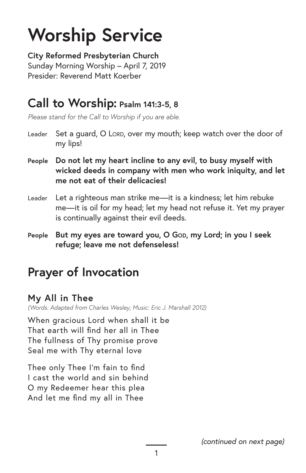# **Worship Service**

**City Reformed Presbyterian Church** Sunday Morning Worship – April 7, 2019 Presider: Reverend Matt Koerber

### **Call to Worship: Psalm 141:3-5, 8**

*Please stand for the Call to Worship if you are able.*

- Leader Set a guard, O LORD, over my mouth; keep watch over the door of my lips!
- **People Do not let my heart incline to any evil, to busy myself with wicked deeds in company with men who work iniquity, and let me not eat of their delicacies!**
- Leader Let a righteous man strike me—it is a kindness; let him rebuke me—it is oil for my head; let my head not refuse it. Yet my prayer is continually against their evil deeds.
- People But my eyes are toward you, O God, my Lord; in you I seek **refuge; leave me not defenseless!**

# **Prayer of Invocation**

#### **My All in Thee**

*(Words: Adapted from Charles Wesley; Music: Eric J. Marshall 2012)*

When gracious Lord when shall it be That earth will find her all in Thee The fullness of Thy promise prove Seal me with Thy eternal love

Thee only Thee I'm fain to find I cast the world and sin behind O my Redeemer hear this plea And let me find my all in Thee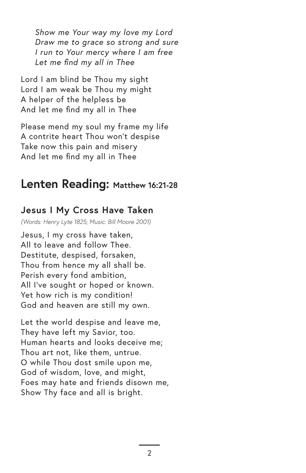*Show me Your way my love my Lord Draw me to grace so strong and sure I run to Your mercy where I am free Let me find my all in Thee*

Lord I am blind be Thou my sight Lord I am weak be Thou my might A helper of the helpless be And let me find my all in Thee

Please mend my soul my frame my life A contrite heart Thou won't despise Take now this pain and misery And let me find my all in Thee

### **Lenten Reading: Matthew 16:21-28**

#### **Jesus I My Cross Have Taken**

*(Words: Henry Lyte 1825; Music: Bill Moore 2001)*

Jesus, I my cross have taken, All to leave and follow Thee. Destitute, despised, forsaken, Thou from hence my all shall be. Perish every fond ambition, All I've sought or hoped or known. Yet how rich is my condition! God and heaven are still my own.

Let the world despise and leave me, They have left my Savior, too. Human hearts and looks deceive me; Thou art not, like them, untrue. O while Thou dost smile upon me, God of wisdom, love, and might, Foes may hate and friends disown me, Show Thy face and all is bright.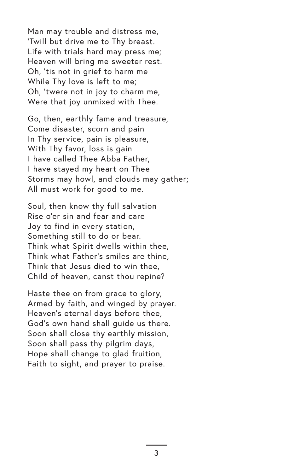Man may trouble and distress me, 'Twill but drive me to Thy breast. Life with trials hard may press me; Heaven will bring me sweeter rest. Oh, 'tis not in grief to harm me While Thy love is left to me; Oh, 'twere not in joy to charm me, Were that joy unmixed with Thee.

Go, then, earthly fame and treasure, Come disaster, scorn and pain In Thy service, pain is pleasure, With Thy favor, loss is gain I have called Thee Abba Father, I have stayed my heart on Thee Storms may howl, and clouds may gather; All must work for good to me.

Soul, then know thy full salvation Rise o'er sin and fear and care Joy to find in every station, Something still to do or bear. Think what Spirit dwells within thee, Think what Father's smiles are thine, Think that Jesus died to win thee, Child of heaven, canst thou repine?

Haste thee on from grace to glory, Armed by faith, and winged by prayer. Heaven's eternal days before thee, God's own hand shall guide us there. Soon shall close thy earthly mission, Soon shall pass thy pilgrim days, Hope shall change to glad fruition, Faith to sight, and prayer to praise.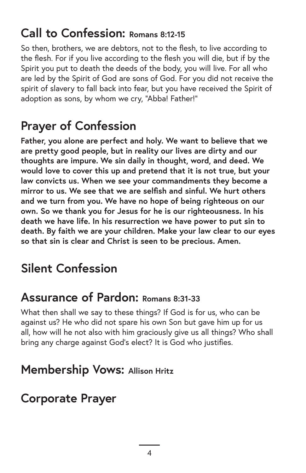## **Call to Confession: Romans 8:12-15**

So then, brothers, we are debtors, not to the flesh, to live according to the flesh. For if you live according to the flesh you will die, but if by the Spirit you put to death the deeds of the body, you will live. For all who are led by the Spirit of God are sons of God. For you did not receive the spirit of slavery to fall back into fear, but you have received the Spirit of adoption as sons, by whom we cry, "Abba! Father!"

# **Prayer of Confession**

**Father, you alone are perfect and holy. We want to believe that we are pretty good people, but in reality our lives are dirty and our thoughts are impure. We sin daily in thought, word, and deed. We would love to cover this up and pretend that it is not true, but your law convicts us. When we see your commandments they become a mirror to us. We see that we are selfish and sinful. We hurt others and we turn from you. We have no hope of being righteous on our own. So we thank you for Jesus for he is our righteousness. In his death we have life. In his resurrection we have power to put sin to death. By faith we are your children. Make your law clear to our eyes so that sin is clear and Christ is seen to be precious. Amen.**

# **Silent Confession**

### **Assurance of Pardon: Romans 8:31-33**

What then shall we say to these things? If God is for us, who can be against us? He who did not spare his own Son but gave him up for us all, how will he not also with him graciously give us all things? Who shall bring any charge against God's elect? It is God who justifies.

### **Membership Vows: Allison Hritz**

## **Corporate Prayer**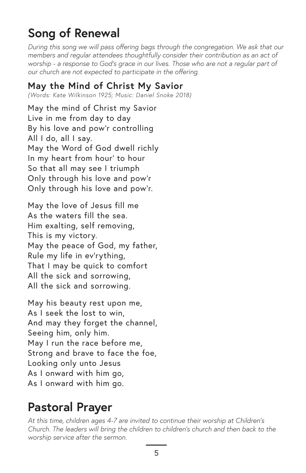# **Song of Renewal**

*During this song we will pass offering bags through the congregation. We ask that our members and regular attendees thoughtfully consider their contribution as an act of worship - a response to God's grace in our lives. Those who are not a regular part of our church are not expected to participate in the offering.*

#### **May the Mind of Christ My Savior**

*(Words: Kate Wilkinson 1925; Music: Daniel Snoke 2018)*

May the mind of Christ my Savior Live in me from day to day By his love and pow'r controlling All I do, all I say. May the Word of God dwell richly In my heart from hour' to hour So that all may see I triumph Only through his love and pow'r Only through his love and pow'r.

May the love of Jesus fill me As the waters fill the sea. Him exalting, self removing, This is my victory. May the peace of God, my father, Rule my life in ev'rything, That I may be quick to comfort All the sick and sorrowing, All the sick and sorrowing.

May his beauty rest upon me, As I seek the lost to win, And may they forget the channel, Seeing him, only him. May I run the race before me, Strong and brave to face the foe, Looking only unto Jesus As I onward with him go, As I onward with him go.

# **Pastoral Prayer**

*At this time, children ages 4-7 are invited to continue their worship at Children's Church. The leaders will bring the children to children's church and then back to the worship service after the sermon.*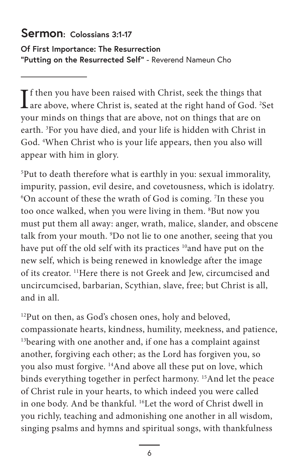#### **Sermon: Colossians 3:1-17**

**Of First Importance: The Resurrection "Putting on the Resurrected Self"** - Reverend Nameun Cho

If then you have been raised with Christ, seek the things that<br>are above, where Christ is, seated at the right hand of God. <sup>2</sup>Set  $\mathbf T$  f then you have been raised with Christ, seek the things that your minds on things that are above, not on things that are on earth. <sup>3</sup>For you have died, and your life is hidden with Christ in God. 4 When Christ who is your life appears, then you also will appear with him in glory.

5 Put to death therefore what is earthly in you: sexual immorality, impurity, passion, evil desire, and covetousness, which is idolatry. 6 On account of these the wrath of God is coming. 7 In these you too once walked, when you were living in them. 8 But now you must put them all away: anger, wrath, malice, slander, and obscene talk from your mouth. 9 Do not lie to one another, seeing that you have put off the old self with its practices <sup>10</sup> and have put on the new self, which is being renewed in knowledge after the image of its creator. 11Here there is not Greek and Jew, circumcised and uncircumcised, barbarian, Scythian, slave, free; but Christ is all, and in all.

12 Put on then, as God's chosen ones, holy and beloved, compassionate hearts, kindness, humility, meekness, and patience, <sup>13</sup>bearing with one another and, if one has a complaint against another, forgiving each other; as the Lord has forgiven you, so you also must forgive. 14And above all these put on love, which binds everything together in perfect harmony. 15And let the peace of Christ rule in your hearts, to which indeed you were called in one body. And be thankful. 16Let the word of Christ dwell in you richly, teaching and admonishing one another in all wisdom, singing psalms and hymns and spiritual songs, with thankfulness

6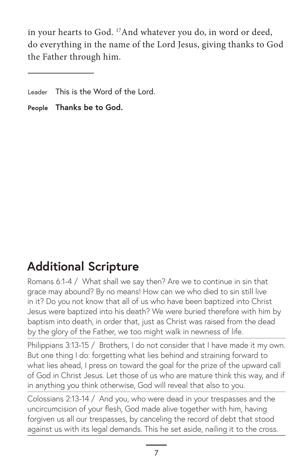in your hearts to God. 17And whatever you do, in word or deed, do everything in the name of the Lord Jesus, giving thanks to God the Father through him.

# **Additional Scripture**

Romans 6:1-4 / What shall we say then? Are we to continue in sin that grace may abound? By no means! How can we who died to sin still live in it? Do you not know that all of us who have been baptized into Christ Jesus were baptized into his death? We were buried therefore with him by baptism into death, in order that, just as Christ was raised from the dead by the glory of the Father, we too might walk in newness of life.

Philippians 3:13-15 / Brothers, I do not consider that I have made it my own. But one thing I do: forgetting what lies behind and straining forward to what lies ahead, I press on toward the goal for the prize of the upward call of God in Christ Jesus. Let those of us who are mature think this way, and if in anything you think otherwise, God will reveal that also to you.

Colossians 2:13-14 / And you, who were dead in your trespasses and the uncircumcision of your flesh, God made alive together with him, having forgiven us all our trespasses, by canceling the record of debt that stood against us with its legal demands. This he set aside, nailing it to the cross.

Leader This is the Word of the Lord.

**People Thanks be to God.**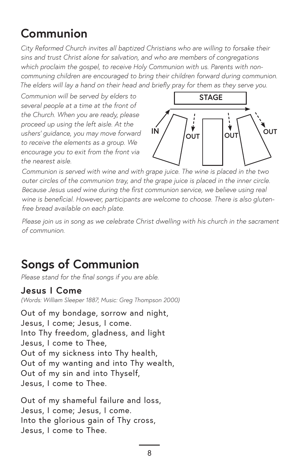## **Communion**

*City Reformed Church invites all baptized Christians who are willing to forsake their sins and trust Christ alone for salvation, and who are members of congregations which proclaim the gospel, to receive Holy Communion with us. Parents with noncommuning children are encouraged to bring their children forward during communion. The elders will lay a hand on their head and briefly pray for them as they serve you.*

*Communion will be served by elders to several people at a time at the front of the Church. When you are ready, please proceed up using the left aisle. At the ushers' guidance, you may move forward to receive the elements as a group. We encourage you to exit from the front via the nearest aisle.*



*Communion is served with wine and with grape juice. The wine is placed in the two outer circles of the communion tray, and the grape juice is placed in the inner circle. Because Jesus used wine during the first communion service, we believe using real wine is beneficial. However, participants are welcome to choose. There is also glutenfree bread available on each plate.*

*Please join us in song as we celebrate Christ dwelling with his church in the sacrament of communion.*

# **Songs of Communion**

*Please stand for the final songs if you are able.*

#### **Jesus I Come**

*(Words: William Sleeper 1887; Music: Greg Thompson 2000)*

Out of my bondage, sorrow and night, Jesus, I come; Jesus, I come. Into Thy freedom, gladness, and light Jesus, I come to Thee, Out of my sickness into Thy health, Out of my wanting and into Thy wealth, Out of my sin and into Thyself, Jesus, I come to Thee.

Out of my shameful failure and loss, Jesus, I come; Jesus, I come. Into the glorious gain of Thy cross, Jesus, I come to Thee.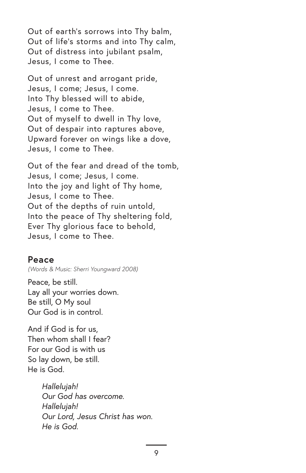Out of earth's sorrows into Thy balm, Out of life's storms and into Thy calm, Out of distress into jubilant psalm, Jesus, I come to Thee.

Out of unrest and arrogant pride, Jesus, I come; Jesus, I come. Into Thy blessed will to abide, Jesus, I come to Thee. Out of myself to dwell in Thy love, Out of despair into raptures above, Upward forever on wings like a dove, Jesus, I come to Thee.

Out of the fear and dread of the tomb, Jesus, I come; Jesus, I come. Into the joy and light of Thy home, Jesus, I come to Thee. Out of the depths of ruin untold, Into the peace of Thy sheltering fold, Ever Thy glorious face to behold, Jesus, I come to Thee.

#### **Peace**

*(Words & Music: Sherri Youngward 2008)*

Peace, be still. Lay all your worries down. Be still, O My soul Our God is in control.

And if God is for us, Then whom shall I fear? For our God is with us So lay down, be still. He is God.

> *Hallelujah! Our God has overcome. Hallelujah! Our Lord, Jesus Christ has won. He is God.*